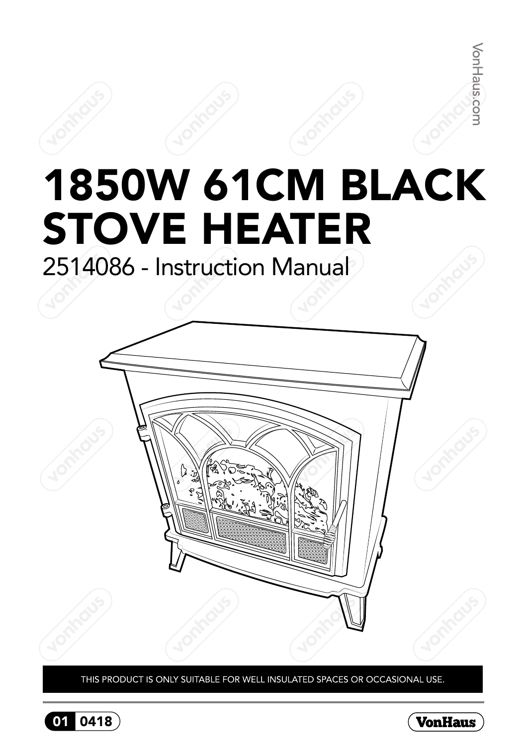# 1850W 61CM BLACK STOVE HEATER

2514086 - Instruction Manual



THIS PRODUCT IS ONLY SUITABLE FOR WELL INSULATED SPACES OR OCCASIONAL USE.



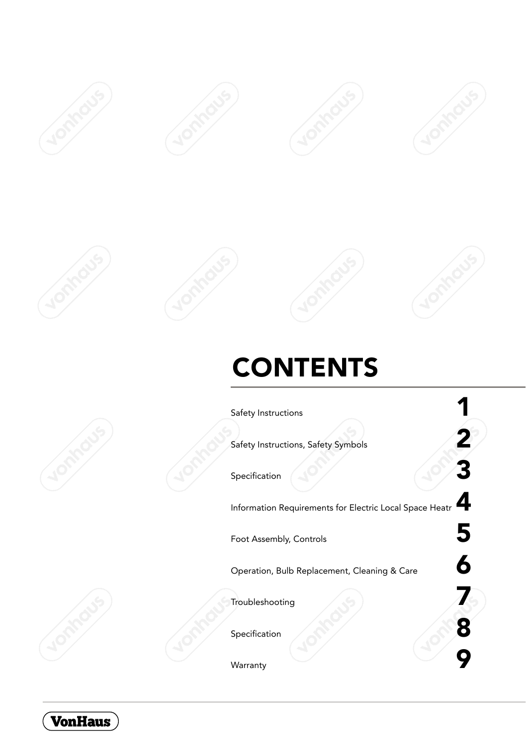











Safety Instructions

Safety Instructions, Safety Symbols<br>
Specification

Information Requirements for Electric Local Space Heatr  $\blacktriangle$ 

Foot Assembly, Controls<br>Operation, Bulb Replacement, Cleaning & Care Operation, Bulb Replacement, Cleaning & Care 6 Channel Brown Specification

**Troubleshooting** 



**VonHaus**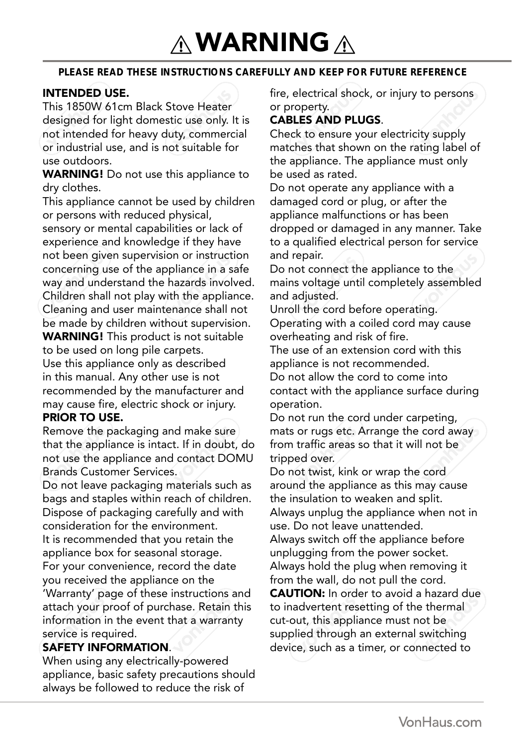#### PLEASE READ THESE INSTRUCTIONS CAREFULLY AND KEEP FOR FUTURE REFERENCE

#### INTENDED USE.

This 1850W 61cm Black Stove Heater designed for light domestic use only. It is not intended for heavy duty, commercial or industrial use, and is not suitable for use outdoors.

WARNING! Do not use this appliance to dry clothes.

This appliance cannot be used by children or persons with reduced physical, sensory or mental capabilities or lack of experience and knowledge if they have not been given supervision or instruction concerning use of the appliance in a safe way and understand the hazards involved. Children shall not play with the appliance. Cleaning and user maintenance shall not

be made by children without supervision. WARNING! This product is not suitable to be used on long pile carpets. Use this appliance only as described in this manual. Any other use is not

recommended by the manufacturer and may cause fire, electric shock or injury. PRIOR TO USE.

Remove the packaging and make sure that the appliance is intact. If in doubt, do not use the appliance and contact DOMU Brands Customer Services.

Do not leave packaging materials such as bags and staples within reach of children. Dispose of packaging carefully and with consideration for the environment. It is recommended that you retain the appliance box for seasonal storage. For your convenience, record the date you received the appliance on the 'Warranty' page of these instructions and attach your proof of purchase. Retain this information in the event that a warranty service is required.

#### SAFETY INFORMATION.

When using any electrically-powered appliance, basic safety precautions should always be followed to reduce the risk of

fire, electrical shock, or injury to persons or property.

#### CABLES AND PLUGS.

Check to ensure your electricity supply matches that shown on the rating label of the appliance. The appliance must only be used as rated.

Do not operate any appliance with a damaged cord or plug, or after the appliance malfunctions or has been dropped or damaged in any manner. Take to a qualified electrical person for service and repair.

Do not connect the appliance to the mains voltage until completely assembled and adjusted.

Unroll the cord before operating. Operating with a coiled cord may cause overheating and risk of fire.

The use of an extension cord with this appliance is not recommended.

Do not allow the cord to come into contact with the appliance surface during operation.

Do not run the cord under carpeting, mats or rugs etc. Arrange the cord away from traffic areas so that it will not be tripped over.

Do not twist, kink or wrap the cord around the appliance as this may cause the insulation to weaken and split. Always unplug the appliance when not in use. Do not leave unattended.

Always switch off the appliance before unplugging from the power socket. Always hold the plug when removing it

from the wall, do not pull the cord. CAUTION: In order to avoid a hazard due to inadvertent resetting of the thermal cut-out, this appliance must not be supplied through an external switching device, such as a timer, or connected to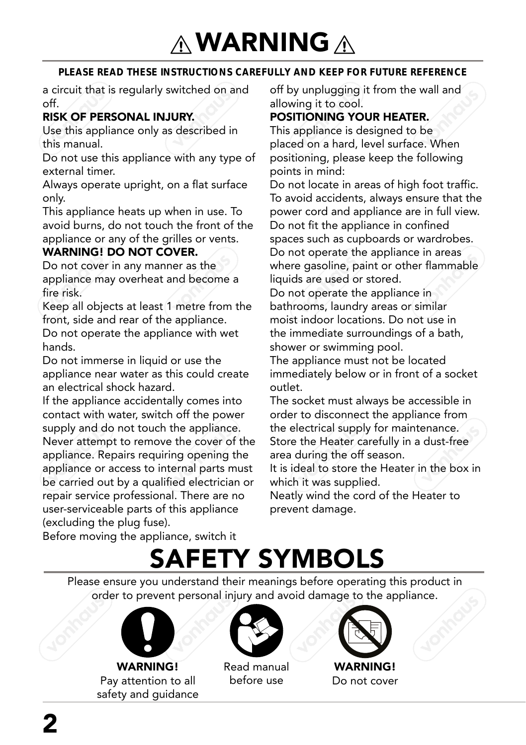### PLEASE READ THESE INSTRUCTIONS CAREFULLY AND KEEP FOR FUTURE REFERENCE

a circuit that is regularly switched on and off.

### RISK OF PERSONAL INJURY.

Use this appliance only as described in this manual.

Do not use this appliance with any type of external timer.

Always operate upright, on a flat surface only.

This appliance heats up when in use. To avoid burns, do not touch the front of the appliance or any of the grilles or vents.

#### WARNING! DO NOT COVER.

Do not cover in any manner as the appliance may overheat and become a fire risk.

Keep all objects at least 1 metre from the front, side and rear of the appliance. Do not operate the appliance with wet hands.

Do not immerse in liquid or use the appliance near water as this could create an electrical shock hazard.

If the appliance accidentally comes into contact with water, switch off the power supply and do not touch the appliance.

Never attempt to remove the cover of the appliance. Repairs requiring opening the appliance or access to internal parts must be carried out by a qualified electrician or repair service professional. There are no user-serviceable parts of this appliance (excluding the plug fuse).

off by unplugging it from the wall and allowing it to cool.

#### POSITIONING YOUR HEATER.

This appliance is designed to be placed on a hard, level surface. When positioning, please keep the following points in mind:

Do not locate in areas of high foot traffic. To avoid accidents, always ensure that the power cord and appliance are in full view. Do not fit the appliance in confined spaces such as cupboards or wardrobes. Do not operate the appliance in areas where gasoline, paint or other flammable liquids are used or stored.

Do not operate the appliance in bathrooms, laundry areas or similar moist indoor locations. Do not use in the immediate surroundings of a bath, shower or swimming pool.

The appliance must not be located immediately below or in front of a socket outlet.

The socket must always be accessible in order to disconnect the appliance from the electrical supply for maintenance. Store the Heater carefully in a dust-free area during the off season.

It is ideal to store the Heater in the box in which it was supplied.

Neatly wind the cord of the Heater to prevent damage.

Before moving the appliance, switch it

### SAFETY SYMBOLS

Please ensure you understand their meanings before operating this product in order to prevent personal injury and avoid damage to the appliance.



WARNING! Pay attention to all safety and guidance



Read manual before use



Do not cover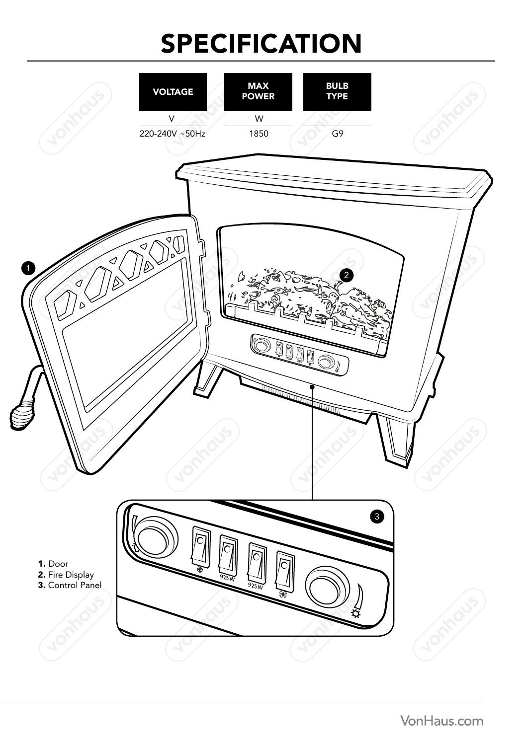# SPECIFICATION

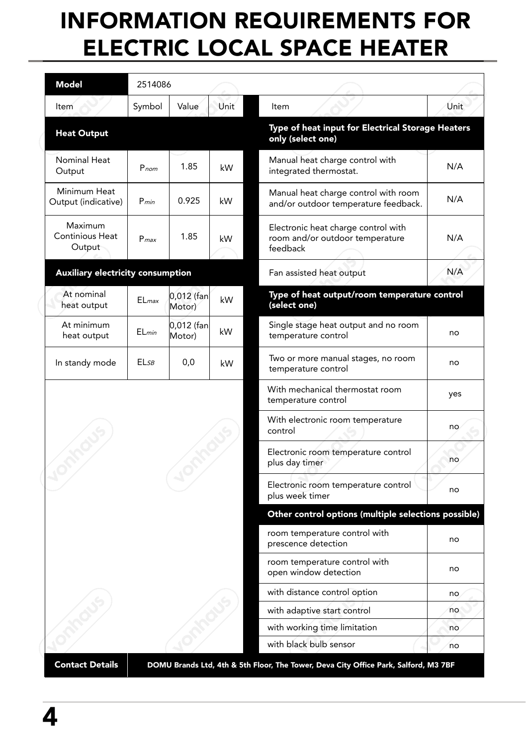### INFORMATION REQUIREMENTS FOR ELECTRIC LOCAL SPACE HEATER

| Model                                       | 2514086                                                                             |                      |      |                                                                                    |                |
|---------------------------------------------|-------------------------------------------------------------------------------------|----------------------|------|------------------------------------------------------------------------------------|----------------|
| Item                                        | Symbol                                                                              | Value                | Unit | Item                                                                               | Unit           |
| <b>Heat Output</b>                          |                                                                                     |                      |      | Type of heat input for Electrical Storage Heaters<br>only (select one)             |                |
| <b>Nominal Heat</b><br>Output               | Pnom                                                                                | 1.85                 | kW   | Manual heat charge control with<br>integrated thermostat.                          | N/A            |
| Minimum Heat<br>Output (indicative)         | $P_{min}$                                                                           | 0.925                | kW   | Manual heat charge control with room<br>and/or outdoor temperature feedback.       | N/A            |
| Maximum<br><b>Continious Heat</b><br>Output | $P_{max}$                                                                           | 1.85                 | kW   | Electronic heat charge control with<br>room and/or outdoor temperature<br>feedback | N/A            |
| Auxiliary electricity consumption           |                                                                                     |                      |      | Fan assisted heat output                                                           | N/A            |
| At nominal<br>heat output                   | $EL$ <i>max</i>                                                                     | 0,012 (fan<br>Motor) | kW   | Type of heat output/room temperature control<br>(select one)                       |                |
| At minimum<br>heat output                   | ELmin                                                                               | 0,012 (fan<br>Motor) | kW   | Single stage heat output and no room<br>temperature control                        | no             |
| In standy mode                              | ELSB                                                                                | 0,0                  | kW   | Two or more manual stages, no room<br>temperature control                          | n <sub>0</sub> |
|                                             |                                                                                     |                      |      | With mechanical thermostat room<br>temperature control                             | yes            |
|                                             |                                                                                     |                      |      | With electronic room temperature<br>control                                        | no             |
|                                             |                                                                                     |                      |      | Electronic room temperature control<br>plus day timer                              | no             |
|                                             |                                                                                     |                      |      | Electronic room temperature control<br>plus week timer                             | no             |
|                                             |                                                                                     |                      |      | Other control options (multiple selections possible)                               |                |
|                                             |                                                                                     |                      |      | room temperature control with<br>prescence detection                               | no             |
|                                             |                                                                                     |                      |      | room temperature control with<br>open window detection                             | no             |
|                                             |                                                                                     |                      |      | with distance control option                                                       | no             |
|                                             |                                                                                     |                      |      | with adaptive start control                                                        | no             |
|                                             |                                                                                     |                      |      | with working time limitation                                                       | no             |
|                                             |                                                                                     |                      |      | with black bulb sensor                                                             | no             |
| <b>Contact Details</b>                      | DOMU Brands Ltd, 4th & 5th Floor, The Tower, Deva City Office Park, Salford, M3 7BF |                      |      |                                                                                    |                |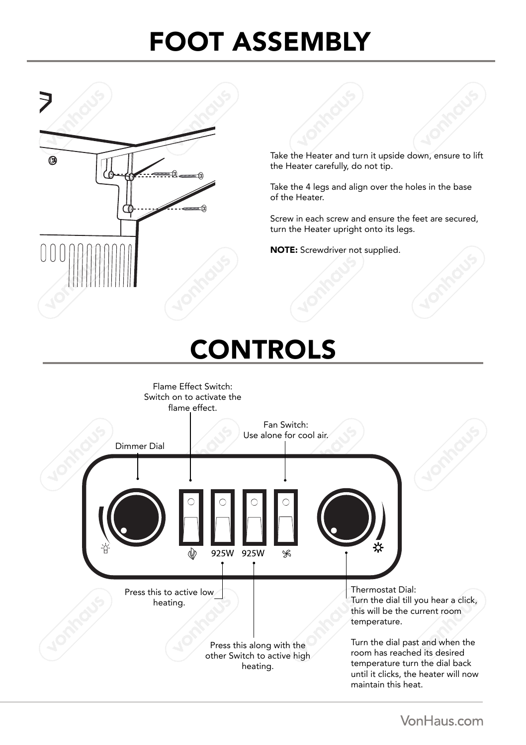## FOOT ASSEMBLY



Take the Heater and turn it upside down, ensure to lift the Heater carefully, do not tip.

Take the 4 legs and align over the holes in the base of the Heater.

Screw in each screw and ensure the feet are secured, turn the Heater upright onto its legs.

NOTE: Screwdriver not supplied.

### CONTROLS

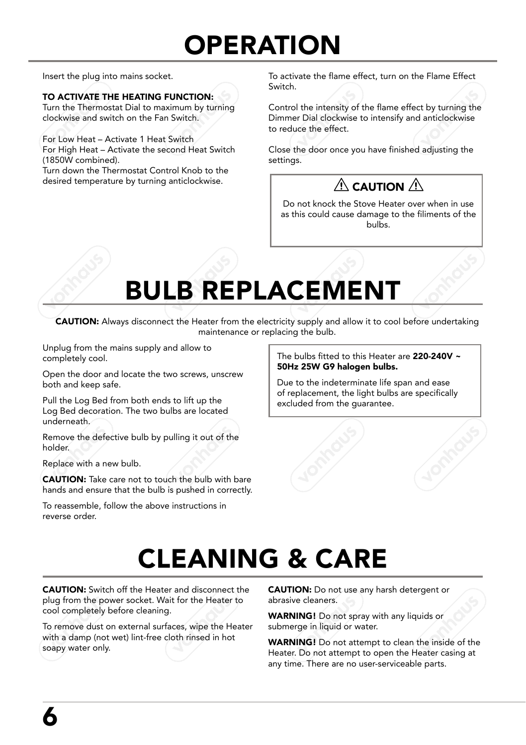## **OPERATION**

Insert the plug into mains socket.

#### TO ACTIVATE THE HEATING FUNCTION:

Turn the Thermostat Dial to maximum by turning clockwise and switch on the Fan Switch.

For Low Heat – Activate 1 Heat Switch

For High Heat – Activate the second Heat Switch (1850W combined).

Turn down the Thermostat Control Knob to the desired temperature by turning anticlockwise.

To activate the flame effect, turn on the Flame Effect  $C$ witch.

Control the intensity of the flame effect by turning the Dimmer Dial clockwise to intensify and anticlockwise to reduce the effect.

Close the door once you have finished adjusting the settings.

### $\wedge$  Caution  $\wedge$

Do not knock the Stove Heater over when in use as this could cause damage to the filiments of the bulbs.

# BULB REPLACEMENT

CAUTION: Always disconnect the Heater from the electricity supply and allow it to cool before undertaking maintenance or replacing the bulb.

Unplug from the mains supply and allow to completely cool.

Open the door and locate the two screws, unscrew both and keep safe.

Pull the Log Bed from both ends to lift up the Log Bed decoration. The two bulbs are located underneath.

Remove the defective bulb by pulling it out of the holder.

Replace with a new bulb.

CAUTION: Take care not to touch the bulb with bare hands and ensure that the bulb is pushed in correctly.

To reassemble, follow the above instructions in reverse order.

#### The bulbs fitted to this Heater are 220-240V ~ 50Hz 25W G9 halogen bulbs.

Due to the indeterminate life span and ease of replacement, the light bulbs are specifically excluded from the guarantee.

### CLEANING & CARE

CAUTION: Switch off the Heater and disconnect the plug from the power socket. Wait for the Heater to cool completely before cleaning.

To remove dust on external surfaces, wipe the Heater with a damp (not wet) lint-free cloth rinsed in hot soapy water only.

**CAUTION:** Do not use any harsh detergent or abrasive cleaners.

WARNING! Do not spray with any liquids or submerge in liquid or water.

WARNING! Do not attempt to clean the inside of the Heater. Do not attempt to open the Heater casing at any time. There are no user-serviceable parts.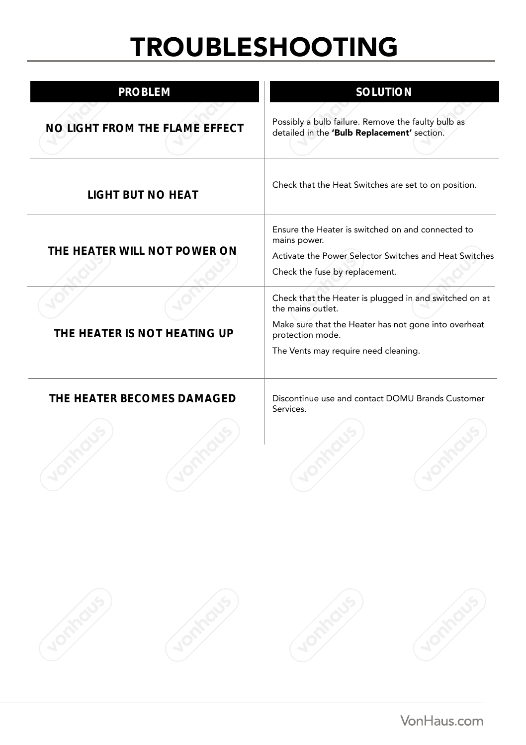# TROUBLESHOOTING

| <b>PROBLEM</b>                 | <b>SOLUTION</b>                                                                                                                                                                                 |
|--------------------------------|-------------------------------------------------------------------------------------------------------------------------------------------------------------------------------------------------|
| NO LIGHT FROM THE FLAME EFFECT | Possibly a bulb failure. Remove the faulty bulb as<br>detailed in the 'Bulb Replacement' section.                                                                                               |
| <b>LIGHT BUT NO HEAT</b>       | Check that the Heat Switches are set to on position.                                                                                                                                            |
| THE HEATER WILL NOT POWER ON   | Ensure the Heater is switched on and connected to<br>mains power.<br>Activate the Power Selector Switches and Heat Switches<br>Check the fuse by replacement.                                   |
| THE HEATER IS NOT HEATING UP   | Check that the Heater is plugged in and switched on at<br>the mains outlet.<br>Make sure that the Heater has not gone into overheat<br>protection mode.<br>The Vents may require need cleaning. |
| THE HEATER BECOMES DAMAGED     | Discontinue use and contact DOMU Brands Customer<br>Services.                                                                                                                                   |
|                                |                                                                                                                                                                                                 |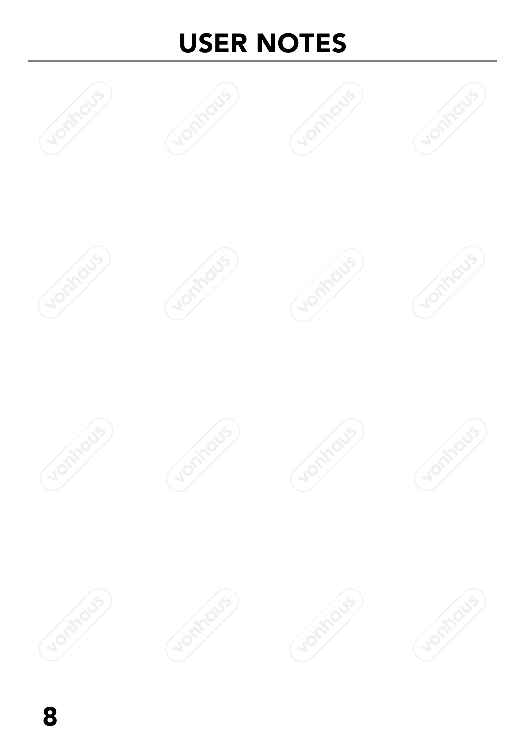### USER NOTES

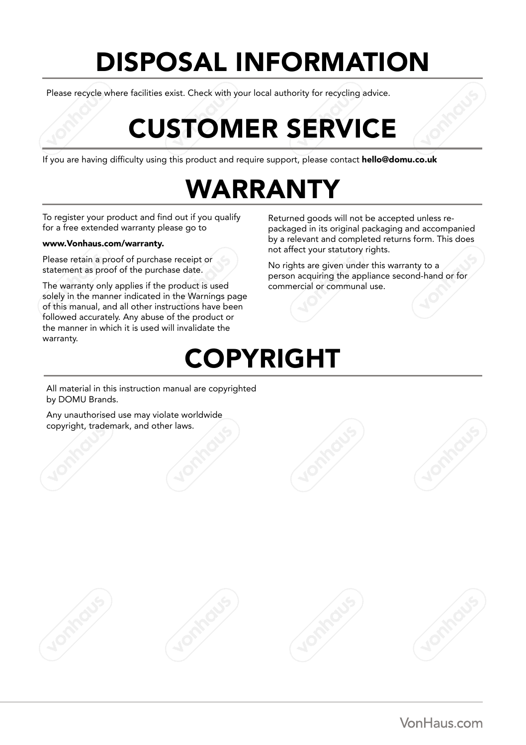## DISPOSAL INFORMATION

Please recycle where facilities exist. Check with your local authority for recycling advice.

## CUSTOMER SERVICE

If you are having difficulty using this product and require support, please contact hello@domu.co.uk

### WARRANTY

To register your product and find out if you qualify for a free extended warranty please go to

#### www.Vonhaus.com/warranty.

Please retain a proof of purchase receipt or statement as proof of the purchase date.

The warranty only applies if the product is used solely in the manner indicated in the Warnings page of this manual, and all other instructions have been followed accurately. Any abuse of the product or the manner in which it is used will invalidate the warranty.

Returned goods will not be accepted unless repackaged in its original packaging and accompanied by a relevant and completed returns form. This does not affect your statutory rights.

No rights are given under this warranty to a person acquiring the appliance second-hand or for commercial or communal use.

### COPYRIGHT

All material in this instruction manual are copyrighted by DOMU Brands.

Any unauthorised use may violate worldwide copyright, trademark, and other laws.